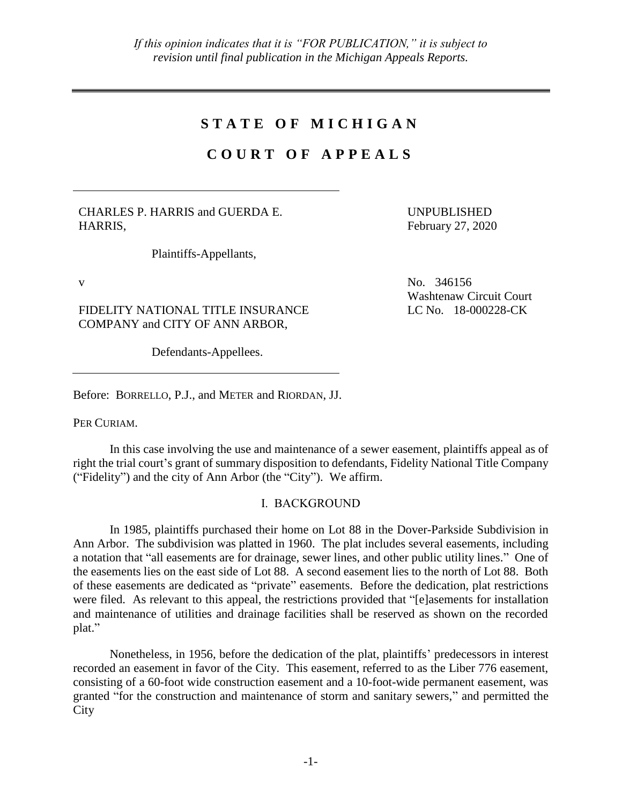## **S T A T E O F M I C H I G A N**

# **C O U R T O F A P P E A L S**

CHARLES P. HARRIS and GUERDA E. HARRIS,

Plaintiffs-Appellants,

FIDELITY NATIONAL TITLE INSURANCE COMPANY and CITY OF ANN ARBOR,

Defendants-Appellees.

Before: BORRELLO, P.J., and METER and RIORDAN, JJ.

PER CURIAM.

In this case involving the use and maintenance of a sewer easement, plaintiffs appeal as of right the trial court's grant of summary disposition to defendants, Fidelity National Title Company ("Fidelity") and the city of Ann Arbor (the "City"). We affirm.

## I. BACKGROUND

In 1985, plaintiffs purchased their home on Lot 88 in the Dover-Parkside Subdivision in Ann Arbor. The subdivision was platted in 1960. The plat includes several easements, including a notation that "all easements are for drainage, sewer lines, and other public utility lines." One of the easements lies on the east side of Lot 88. A second easement lies to the north of Lot 88. Both of these easements are dedicated as "private" easements. Before the dedication, plat restrictions were filed. As relevant to this appeal, the restrictions provided that "[e]asements for installation and maintenance of utilities and drainage facilities shall be reserved as shown on the recorded plat."

Nonetheless, in 1956, before the dedication of the plat, plaintiffs' predecessors in interest recorded an easement in favor of the City. This easement, referred to as the Liber 776 easement, consisting of a 60-foot wide construction easement and a 10-foot-wide permanent easement, was granted "for the construction and maintenance of storm and sanitary sewers," and permitted the **City** 

February 27, 2020

UNPUBLISHED

 $V = N_0$ , 346156 Washtenaw Circuit Court LC No. 18-000228-CK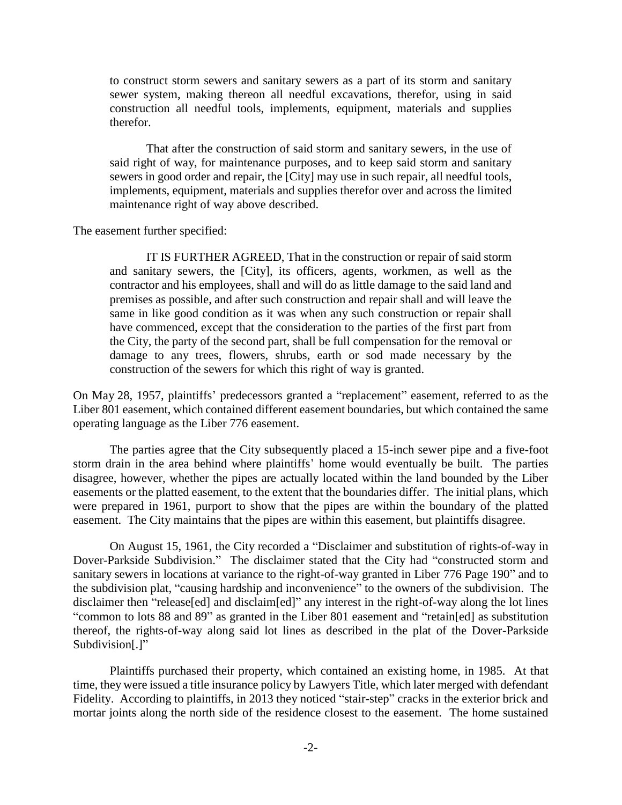to construct storm sewers and sanitary sewers as a part of its storm and sanitary sewer system, making thereon all needful excavations, therefor, using in said construction all needful tools, implements, equipment, materials and supplies therefor.

That after the construction of said storm and sanitary sewers, in the use of said right of way, for maintenance purposes, and to keep said storm and sanitary sewers in good order and repair, the [City] may use in such repair, all needful tools, implements, equipment, materials and supplies therefor over and across the limited maintenance right of way above described.

The easement further specified:

IT IS FURTHER AGREED, That in the construction or repair of said storm and sanitary sewers, the [City], its officers, agents, workmen, as well as the contractor and his employees, shall and will do as little damage to the said land and premises as possible, and after such construction and repair shall and will leave the same in like good condition as it was when any such construction or repair shall have commenced, except that the consideration to the parties of the first part from the City, the party of the second part, shall be full compensation for the removal or damage to any trees, flowers, shrubs, earth or sod made necessary by the construction of the sewers for which this right of way is granted.

On May 28, 1957, plaintiffs' predecessors granted a "replacement" easement, referred to as the Liber 801 easement, which contained different easement boundaries, but which contained the same operating language as the Liber 776 easement.

The parties agree that the City subsequently placed a 15-inch sewer pipe and a five-foot storm drain in the area behind where plaintiffs' home would eventually be built. The parties disagree, however, whether the pipes are actually located within the land bounded by the Liber easements or the platted easement, to the extent that the boundaries differ. The initial plans, which were prepared in 1961, purport to show that the pipes are within the boundary of the platted easement. The City maintains that the pipes are within this easement, but plaintiffs disagree.

On August 15, 1961, the City recorded a "Disclaimer and substitution of rights-of-way in Dover-Parkside Subdivision." The disclaimer stated that the City had "constructed storm and sanitary sewers in locations at variance to the right-of-way granted in Liber 776 Page 190" and to the subdivision plat, "causing hardship and inconvenience" to the owners of the subdivision. The disclaimer then "release[ed] and disclaim[ed]" any interest in the right-of-way along the lot lines "common to lots 88 and 89" as granted in the Liber 801 easement and "retain[ed] as substitution thereof, the rights-of-way along said lot lines as described in the plat of the Dover-Parkside Subdivision[.]"

Plaintiffs purchased their property, which contained an existing home, in 1985. At that time, they were issued a title insurance policy by Lawyers Title, which later merged with defendant Fidelity. According to plaintiffs, in 2013 they noticed "stair-step" cracks in the exterior brick and mortar joints along the north side of the residence closest to the easement. The home sustained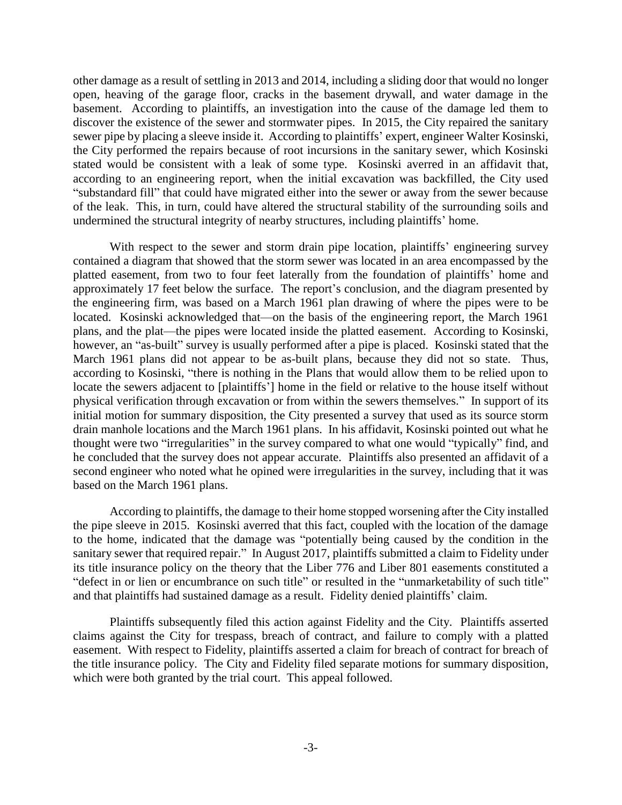other damage as a result of settling in 2013 and 2014, including a sliding door that would no longer open, heaving of the garage floor, cracks in the basement drywall, and water damage in the basement. According to plaintiffs, an investigation into the cause of the damage led them to discover the existence of the sewer and stormwater pipes. In 2015, the City repaired the sanitary sewer pipe by placing a sleeve inside it. According to plaintiffs' expert, engineer Walter Kosinski, the City performed the repairs because of root incursions in the sanitary sewer, which Kosinski stated would be consistent with a leak of some type. Kosinski averred in an affidavit that, according to an engineering report, when the initial excavation was backfilled, the City used "substandard fill" that could have migrated either into the sewer or away from the sewer because of the leak. This, in turn, could have altered the structural stability of the surrounding soils and undermined the structural integrity of nearby structures, including plaintiffs' home.

With respect to the sewer and storm drain pipe location, plaintiffs' engineering survey contained a diagram that showed that the storm sewer was located in an area encompassed by the platted easement, from two to four feet laterally from the foundation of plaintiffs' home and approximately 17 feet below the surface. The report's conclusion, and the diagram presented by the engineering firm, was based on a March 1961 plan drawing of where the pipes were to be located. Kosinski acknowledged that—on the basis of the engineering report, the March 1961 plans, and the plat—the pipes were located inside the platted easement. According to Kosinski, however, an "as-built" survey is usually performed after a pipe is placed. Kosinski stated that the March 1961 plans did not appear to be as-built plans, because they did not so state. Thus, according to Kosinski, "there is nothing in the Plans that would allow them to be relied upon to locate the sewers adjacent to [plaintiffs'] home in the field or relative to the house itself without physical verification through excavation or from within the sewers themselves." In support of its initial motion for summary disposition, the City presented a survey that used as its source storm drain manhole locations and the March 1961 plans. In his affidavit, Kosinski pointed out what he thought were two "irregularities" in the survey compared to what one would "typically" find, and he concluded that the survey does not appear accurate. Plaintiffs also presented an affidavit of a second engineer who noted what he opined were irregularities in the survey, including that it was based on the March 1961 plans.

According to plaintiffs, the damage to their home stopped worsening after the City installed the pipe sleeve in 2015. Kosinski averred that this fact, coupled with the location of the damage to the home, indicated that the damage was "potentially being caused by the condition in the sanitary sewer that required repair." In August 2017, plaintiffs submitted a claim to Fidelity under its title insurance policy on the theory that the Liber 776 and Liber 801 easements constituted a "defect in or lien or encumbrance on such title" or resulted in the "unmarketability of such title" and that plaintiffs had sustained damage as a result. Fidelity denied plaintiffs' claim.

Plaintiffs subsequently filed this action against Fidelity and the City. Plaintiffs asserted claims against the City for trespass, breach of contract, and failure to comply with a platted easement. With respect to Fidelity, plaintiffs asserted a claim for breach of contract for breach of the title insurance policy. The City and Fidelity filed separate motions for summary disposition, which were both granted by the trial court. This appeal followed.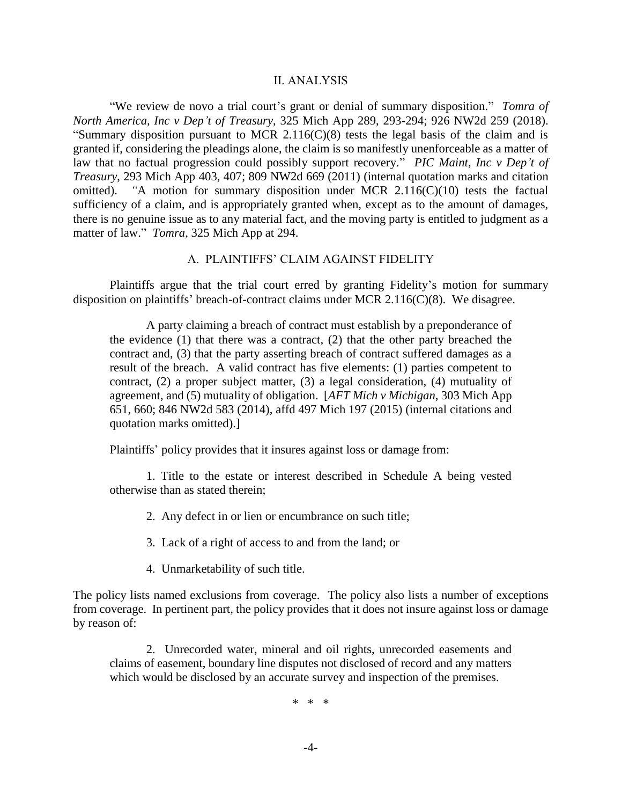#### II. ANALYSIS

"We review de novo a trial court's grant or denial of summary disposition." *Tomra of North America, Inc v Dep't of Treasury*, 325 Mich App 289, 293-294; 926 NW2d 259 (2018). "Summary disposition pursuant to MCR 2.116(C)(8) tests the legal basis of the claim and is granted if, considering the pleadings alone, the claim is so manifestly unenforceable as a matter of law that no factual progression could possibly support recovery." *PIC Maint, Inc v Dep't of Treasury*, 293 Mich App 403, 407; 809 NW2d 669 (2011) (internal quotation marks and citation omitted). *"*A motion for summary disposition under MCR 2.116(C)(10) tests the factual sufficiency of a claim, and is appropriately granted when, except as to the amount of damages, there is no genuine issue as to any material fact, and the moving party is entitled to judgment as a matter of law." *Tomra*, 325 Mich App at 294.

### A. PLAINTIFFS' CLAIM AGAINST FIDELITY

Plaintiffs argue that the trial court erred by granting Fidelity's motion for summary disposition on plaintiffs' breach-of-contract claims under MCR 2.116(C)(8). We disagree.

A party claiming a breach of contract must establish by a preponderance of the evidence  $(1)$  that there was a contract,  $(2)$  that the other party breached the contract and, (3) that the party asserting breach of contract suffered damages as a result of the breach. A valid contract has five elements: (1) parties competent to contract, (2) a proper subject matter, (3) a legal consideration, (4) mutuality of agreement, and (5) mutuality of obligation. [*AFT Mich v Michigan*, 303 Mich App 651, 660; 846 NW2d 583 (2014), affd 497 Mich 197 (2015) (internal citations and quotation marks omitted).]

Plaintiffs' policy provides that it insures against loss or damage from:

1. Title to the estate or interest described in Schedule A being vested otherwise than as stated therein;

2. Any defect in or lien or encumbrance on such title;

3. Lack of a right of access to and from the land; or

4. Unmarketability of such title.

The policy lists named exclusions from coverage. The policy also lists a number of exceptions from coverage. In pertinent part, the policy provides that it does not insure against loss or damage by reason of:

2. Unrecorded water, mineral and oil rights, unrecorded easements and claims of easement, boundary line disputes not disclosed of record and any matters which would be disclosed by an accurate survey and inspection of the premises.

\* \* \*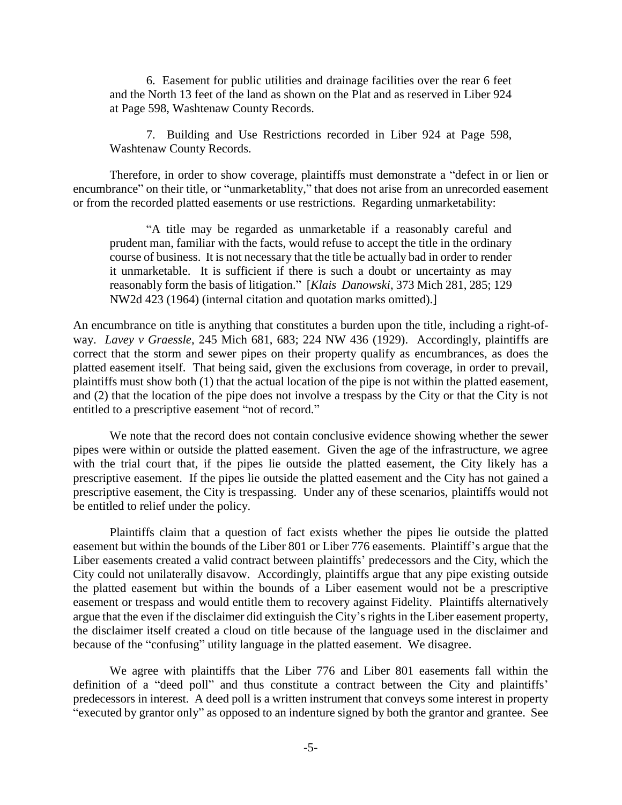6. Easement for public utilities and drainage facilities over the rear 6 feet and the North 13 feet of the land as shown on the Plat and as reserved in Liber 924 at Page 598, Washtenaw County Records.

7. Building and Use Restrictions recorded in Liber 924 at Page 598, Washtenaw County Records.

Therefore, in order to show coverage, plaintiffs must demonstrate a "defect in or lien or encumbrance" on their title, or "unmarketablity," that does not arise from an unrecorded easement or from the recorded platted easements or use restrictions. Regarding unmarketability:

"A title may be regarded as unmarketable if a reasonably careful and prudent man, familiar with the facts, would refuse to accept the title in the ordinary course of business. It is not necessary that the title be actually bad in order to render it unmarketable. It is sufficient if there is such a doubt or uncertainty as may reasonably form the basis of litigation." [*Klais Danowski*, 373 Mich 281, 285; 129 NW2d 423 (1964) (internal citation and quotation marks omitted).]

An encumbrance on title is anything that constitutes a burden upon the title, including a right-ofway. *Lavey v Graessle*, 245 Mich 681, 683; 224 NW 436 (1929). Accordingly, plaintiffs are correct that the storm and sewer pipes on their property qualify as encumbrances, as does the platted easement itself. That being said, given the exclusions from coverage, in order to prevail, plaintiffs must show both (1) that the actual location of the pipe is not within the platted easement, and (2) that the location of the pipe does not involve a trespass by the City or that the City is not entitled to a prescriptive easement "not of record."

We note that the record does not contain conclusive evidence showing whether the sewer pipes were within or outside the platted easement. Given the age of the infrastructure, we agree with the trial court that, if the pipes lie outside the platted easement, the City likely has a prescriptive easement. If the pipes lie outside the platted easement and the City has not gained a prescriptive easement, the City is trespassing. Under any of these scenarios, plaintiffs would not be entitled to relief under the policy.

Plaintiffs claim that a question of fact exists whether the pipes lie outside the platted easement but within the bounds of the Liber 801 or Liber 776 easements. Plaintiff's argue that the Liber easements created a valid contract between plaintiffs' predecessors and the City, which the City could not unilaterally disavow. Accordingly, plaintiffs argue that any pipe existing outside the platted easement but within the bounds of a Liber easement would not be a prescriptive easement or trespass and would entitle them to recovery against Fidelity. Plaintiffs alternatively argue that the even if the disclaimer did extinguish the City's rights in the Liber easement property, the disclaimer itself created a cloud on title because of the language used in the disclaimer and because of the "confusing" utility language in the platted easement. We disagree.

We agree with plaintiffs that the Liber 776 and Liber 801 easements fall within the definition of a "deed poll" and thus constitute a contract between the City and plaintiffs' predecessors in interest. A deed poll is a written instrument that conveys some interest in property "executed by grantor only" as opposed to an indenture signed by both the grantor and grantee. See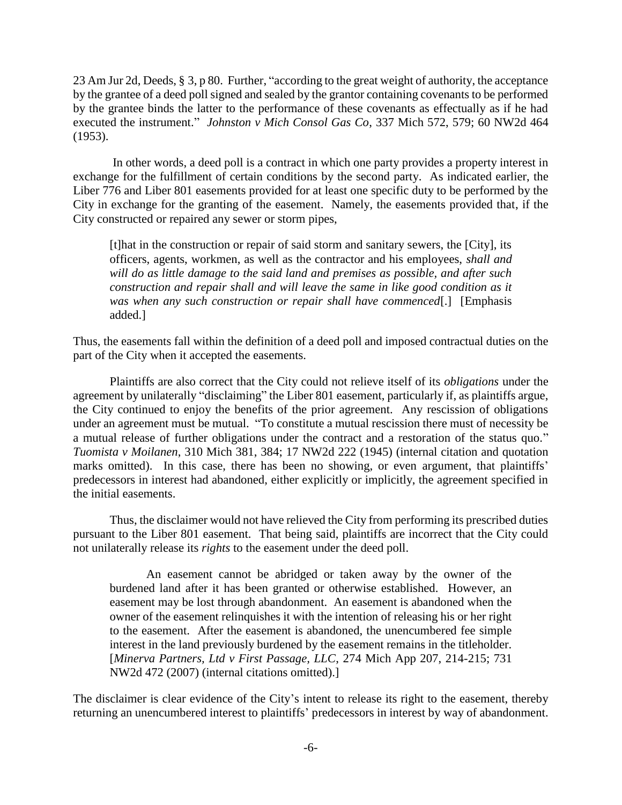23 Am Jur 2d, Deeds, § 3, p 80. Further, "according to the great weight of authority, the acceptance by the grantee of a deed poll signed and sealed by the grantor containing covenants to be performed by the grantee binds the latter to the performance of these covenants as effectually as if he had executed the instrument." *Johnston v Mich Consol Gas Co*, 337 Mich 572, 579; 60 NW2d 464 (1953).

In other words, a deed poll is a contract in which one party provides a property interest in exchange for the fulfillment of certain conditions by the second party. As indicated earlier, the Liber 776 and Liber 801 easements provided for at least one specific duty to be performed by the City in exchange for the granting of the easement. Namely, the easements provided that, if the City constructed or repaired any sewer or storm pipes,

[t]hat in the construction or repair of said storm and sanitary sewers, the [City], its officers, agents, workmen, as well as the contractor and his employees, *shall and will do as little damage to the said land and premises as possible, and after such construction and repair shall and will leave the same in like good condition as it was when any such construction or repair shall have commenced*[.] [Emphasis added.]

Thus, the easements fall within the definition of a deed poll and imposed contractual duties on the part of the City when it accepted the easements.

Plaintiffs are also correct that the City could not relieve itself of its *obligations* under the agreement by unilaterally "disclaiming" the Liber 801 easement, particularly if, as plaintiffs argue, the City continued to enjoy the benefits of the prior agreement. Any rescission of obligations under an agreement must be mutual. "To constitute a mutual rescission there must of necessity be a mutual release of further obligations under the contract and a restoration of the status quo." *Tuomista v Moilanen*, 310 Mich 381, 384; 17 NW2d 222 (1945) (internal citation and quotation marks omitted). In this case, there has been no showing, or even argument, that plaintiffs' predecessors in interest had abandoned, either explicitly or implicitly, the agreement specified in the initial easements.

Thus, the disclaimer would not have relieved the City from performing its prescribed duties pursuant to the Liber 801 easement. That being said, plaintiffs are incorrect that the City could not unilaterally release its *rights* to the easement under the deed poll.

An easement cannot be abridged or taken away by the owner of the burdened land after it has been granted or otherwise established. However, an easement may be lost through abandonment.An easement is abandoned when the owner of the easement relinquishes it with the intention of releasing his or her right to the easement. After the easement is abandoned, the unencumbered fee simple interest in the land previously burdened by the easement remains in the titleholder. [*Minerva Partners, Ltd v First Passage, LLC*, 274 Mich App 207, 214-215; 731 NW2d 472 (2007) (internal citations omitted).]

The disclaimer is clear evidence of the City's intent to release its right to the easement, thereby returning an unencumbered interest to plaintiffs' predecessors in interest by way of abandonment.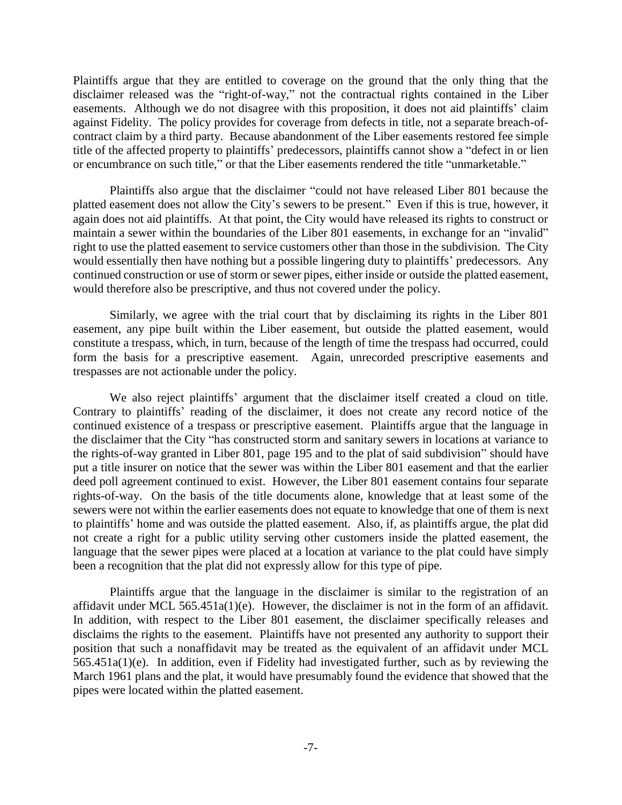Plaintiffs argue that they are entitled to coverage on the ground that the only thing that the disclaimer released was the "right-of-way," not the contractual rights contained in the Liber easements. Although we do not disagree with this proposition, it does not aid plaintiffs' claim against Fidelity. The policy provides for coverage from defects in title, not a separate breach-ofcontract claim by a third party. Because abandonment of the Liber easements restored fee simple title of the affected property to plaintiffs' predecessors, plaintiffs cannot show a "defect in or lien or encumbrance on such title," or that the Liber easements rendered the title "unmarketable."

Plaintiffs also argue that the disclaimer "could not have released Liber 801 because the platted easement does not allow the City's sewers to be present." Even if this is true, however, it again does not aid plaintiffs. At that point, the City would have released its rights to construct or maintain a sewer within the boundaries of the Liber 801 easements, in exchange for an "invalid" right to use the platted easement to service customers other than those in the subdivision. The City would essentially then have nothing but a possible lingering duty to plaintiffs' predecessors. Any continued construction or use of storm or sewer pipes, either inside or outside the platted easement, would therefore also be prescriptive, and thus not covered under the policy.

Similarly, we agree with the trial court that by disclaiming its rights in the Liber 801 easement, any pipe built within the Liber easement, but outside the platted easement, would constitute a trespass, which, in turn, because of the length of time the trespass had occurred, could form the basis for a prescriptive easement. Again, unrecorded prescriptive easements and trespasses are not actionable under the policy.

We also reject plaintiffs' argument that the disclaimer itself created a cloud on title. Contrary to plaintiffs' reading of the disclaimer, it does not create any record notice of the continued existence of a trespass or prescriptive easement. Plaintiffs argue that the language in the disclaimer that the City "has constructed storm and sanitary sewers in locations at variance to the rights-of-way granted in Liber 801, page 195 and to the plat of said subdivision" should have put a title insurer on notice that the sewer was within the Liber 801 easement and that the earlier deed poll agreement continued to exist. However, the Liber 801 easement contains four separate rights-of-way. On the basis of the title documents alone, knowledge that at least some of the sewers were not within the earlier easements does not equate to knowledge that one of them is next to plaintiffs' home and was outside the platted easement. Also, if, as plaintiffs argue, the plat did not create a right for a public utility serving other customers inside the platted easement, the language that the sewer pipes were placed at a location at variance to the plat could have simply been a recognition that the plat did not expressly allow for this type of pipe.

Plaintiffs argue that the language in the disclaimer is similar to the registration of an affidavit under MCL 565.451a(1)(e). However, the disclaimer is not in the form of an affidavit. In addition, with respect to the Liber 801 easement, the disclaimer specifically releases and disclaims the rights to the easement. Plaintiffs have not presented any authority to support their position that such a nonaffidavit may be treated as the equivalent of an affidavit under MCL 565.451a(1)(e). In addition, even if Fidelity had investigated further, such as by reviewing the March 1961 plans and the plat, it would have presumably found the evidence that showed that the pipes were located within the platted easement.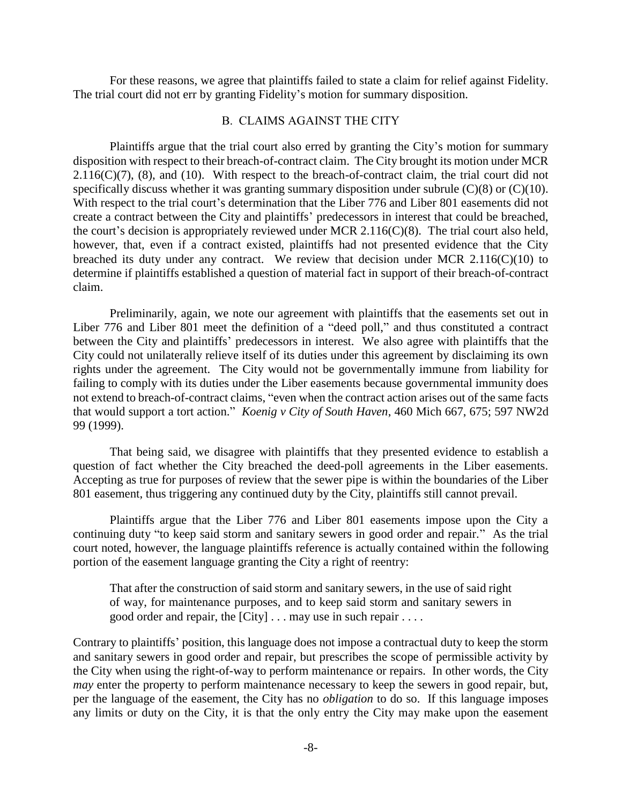For these reasons, we agree that plaintiffs failed to state a claim for relief against Fidelity. The trial court did not err by granting Fidelity's motion for summary disposition.

### B. CLAIMS AGAINST THE CITY

Plaintiffs argue that the trial court also erred by granting the City's motion for summary disposition with respect to their breach-of-contract claim. The City brought its motion under MCR  $2.116(C)(7)$ , (8), and (10). With respect to the breach-of-contract claim, the trial court did not specifically discuss whether it was granting summary disposition under subrule  $(C)(8)$  or  $(C)(10)$ . With respect to the trial court's determination that the Liber 776 and Liber 801 easements did not create a contract between the City and plaintiffs' predecessors in interest that could be breached, the court's decision is appropriately reviewed under MCR 2.116(C)(8). The trial court also held, however, that, even if a contract existed, plaintiffs had not presented evidence that the City breached its duty under any contract. We review that decision under MCR  $2.116(C)(10)$  to determine if plaintiffs established a question of material fact in support of their breach-of-contract claim.

Preliminarily, again, we note our agreement with plaintiffs that the easements set out in Liber 776 and Liber 801 meet the definition of a "deed poll," and thus constituted a contract between the City and plaintiffs' predecessors in interest. We also agree with plaintiffs that the City could not unilaterally relieve itself of its duties under this agreement by disclaiming its own rights under the agreement. The City would not be governmentally immune from liability for failing to comply with its duties under the Liber easements because governmental immunity does not extend to breach-of-contract claims, "even when the contract action arises out of the same facts that would support a tort action." *Koenig v City of South Haven*, 460 Mich 667, 675; 597 NW2d 99 (1999).

That being said, we disagree with plaintiffs that they presented evidence to establish a question of fact whether the City breached the deed-poll agreements in the Liber easements. Accepting as true for purposes of review that the sewer pipe is within the boundaries of the Liber 801 easement, thus triggering any continued duty by the City, plaintiffs still cannot prevail.

Plaintiffs argue that the Liber 776 and Liber 801 easements impose upon the City a continuing duty "to keep said storm and sanitary sewers in good order and repair." As the trial court noted, however, the language plaintiffs reference is actually contained within the following portion of the easement language granting the City a right of reentry:

That after the construction of said storm and sanitary sewers, in the use of said right of way, for maintenance purposes, and to keep said storm and sanitary sewers in good order and repair, the [City] . . . may use in such repair . . . .

Contrary to plaintiffs' position, this language does not impose a contractual duty to keep the storm and sanitary sewers in good order and repair, but prescribes the scope of permissible activity by the City when using the right-of-way to perform maintenance or repairs. In other words, the City *may* enter the property to perform maintenance necessary to keep the sewers in good repair, but, per the language of the easement, the City has no *obligation* to do so. If this language imposes any limits or duty on the City, it is that the only entry the City may make upon the easement